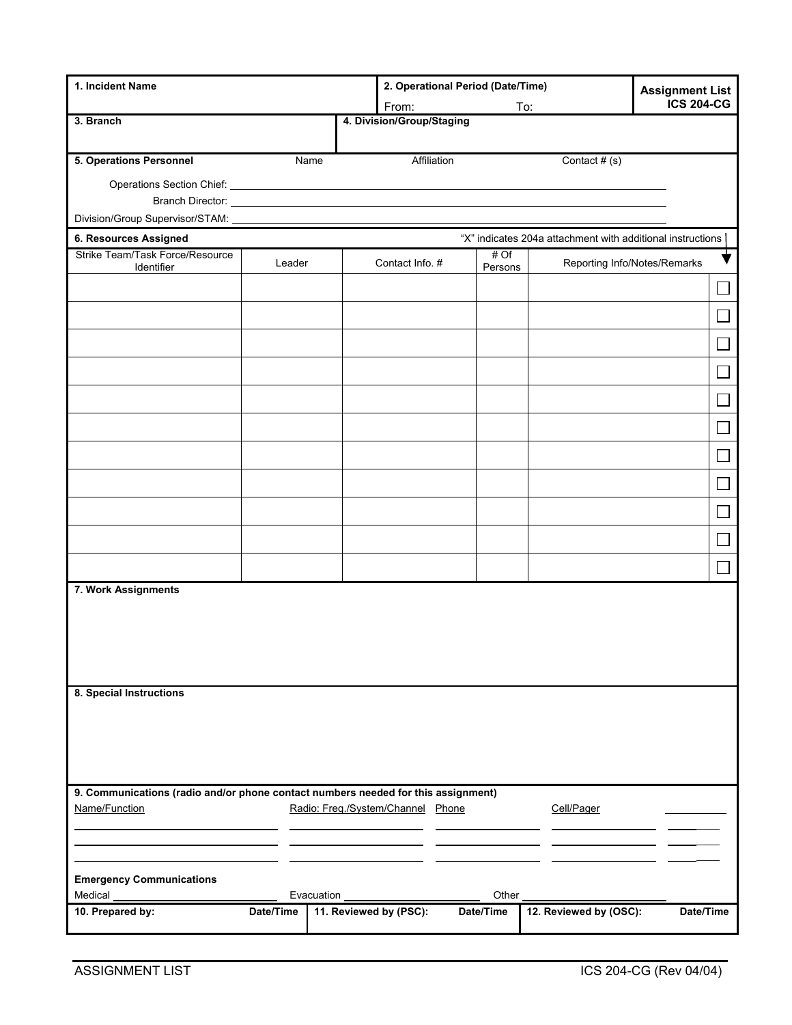| 1. Incident Name                                                                  |           | 2. Operational Period (Date/Time) |                 |                                                            |                                             |
|-----------------------------------------------------------------------------------|-----------|-----------------------------------|-----------------|------------------------------------------------------------|---------------------------------------------|
|                                                                                   |           | From:                             | To:             |                                                            | <b>Assignment List</b><br><b>ICS 204-CG</b> |
| 3. Branch                                                                         |           | 4. Division/Group/Staging         |                 |                                                            |                                             |
|                                                                                   |           |                                   |                 |                                                            |                                             |
| 5. Operations Personnel                                                           | Name      |                                   | Affiliation     | Contact $# (s)$                                            |                                             |
|                                                                                   |           |                                   |                 |                                                            |                                             |
|                                                                                   |           |                                   |                 |                                                            |                                             |
|                                                                                   |           |                                   |                 |                                                            |                                             |
| 6. Resources Assigned<br>Strike Team/Task Force/Resource                          |           |                                   |                 | "X" indicates 204a attachment with additional instructions |                                             |
| Identifier                                                                        | Leader    | Contact Info. #                   | # Of<br>Persons |                                                            | Reporting Info/Notes/Remarks                |
|                                                                                   |           |                                   |                 |                                                            | $\sim$                                      |
|                                                                                   |           |                                   |                 |                                                            |                                             |
|                                                                                   |           |                                   |                 |                                                            |                                             |
|                                                                                   |           |                                   |                 |                                                            |                                             |
|                                                                                   |           |                                   |                 |                                                            |                                             |
|                                                                                   |           |                                   |                 |                                                            |                                             |
|                                                                                   |           |                                   |                 |                                                            |                                             |
|                                                                                   |           |                                   |                 |                                                            |                                             |
|                                                                                   |           |                                   |                 |                                                            |                                             |
|                                                                                   |           |                                   |                 |                                                            |                                             |
|                                                                                   |           |                                   |                 |                                                            |                                             |
|                                                                                   |           |                                   |                 |                                                            |                                             |
|                                                                                   |           |                                   |                 |                                                            |                                             |
|                                                                                   |           |                                   |                 |                                                            |                                             |
|                                                                                   |           |                                   |                 |                                                            |                                             |
| 7. Work Assignments                                                               |           |                                   |                 |                                                            |                                             |
|                                                                                   |           |                                   |                 |                                                            |                                             |
|                                                                                   |           |                                   |                 |                                                            |                                             |
|                                                                                   |           |                                   |                 |                                                            |                                             |
|                                                                                   |           |                                   |                 |                                                            |                                             |
| 8. Special Instructions                                                           |           |                                   |                 |                                                            |                                             |
|                                                                                   |           |                                   |                 |                                                            |                                             |
|                                                                                   |           |                                   |                 |                                                            |                                             |
|                                                                                   |           |                                   |                 |                                                            |                                             |
|                                                                                   |           |                                   |                 |                                                            |                                             |
| 9. Communications (radio and/or phone contact numbers needed for this assignment) |           |                                   |                 |                                                            |                                             |
| Name/Function                                                                     |           | Radio: Freg./System/Channel Phone |                 | Cell/Pager                                                 |                                             |
|                                                                                   |           |                                   |                 |                                                            |                                             |
|                                                                                   |           |                                   |                 |                                                            |                                             |
|                                                                                   |           |                                   |                 |                                                            |                                             |
| <b>Emergency Communications</b><br>Medical                                        |           | Evacuation                        | Other           |                                                            |                                             |
| 10. Prepared by:                                                                  | Date/Time | 11. Reviewed by (PSC):            | Date/Time       | 12. Reviewed by (OSC):                                     | Date/Time                                   |
|                                                                                   |           |                                   |                 |                                                            |                                             |